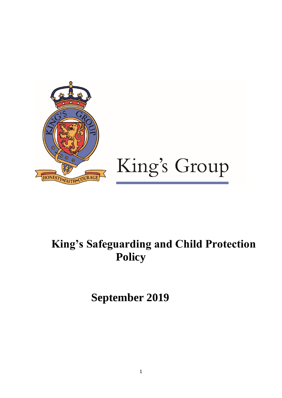

# **King's Safeguarding and Child Protection Policy**

**September 2019**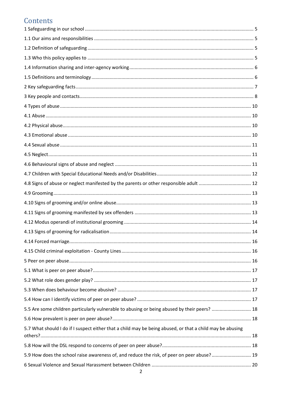# Contents

| 5.5 Are some children particularly vulnerable to abusing or being abused by their peers?  18              |  |
|-----------------------------------------------------------------------------------------------------------|--|
|                                                                                                           |  |
| 5.7 What should I do if I suspect either that a child may be being abused, or that a child may be abusing |  |
|                                                                                                           |  |
| 5.9 How does the school raise awareness of, and reduce the risk, of peer on peer abuse? 19                |  |
|                                                                                                           |  |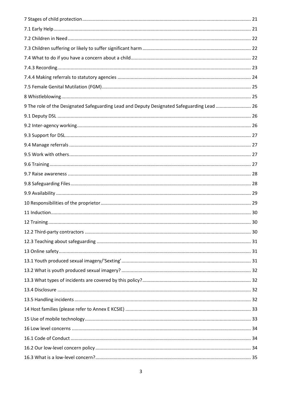| 9 The role of the Designated Safeguarding Lead and Deputy Designated Safeguarding Lead  26 |  |
|--------------------------------------------------------------------------------------------|--|
|                                                                                            |  |
|                                                                                            |  |
|                                                                                            |  |
|                                                                                            |  |
|                                                                                            |  |
|                                                                                            |  |
|                                                                                            |  |
|                                                                                            |  |
|                                                                                            |  |
|                                                                                            |  |
|                                                                                            |  |
|                                                                                            |  |
|                                                                                            |  |
|                                                                                            |  |
|                                                                                            |  |
|                                                                                            |  |
|                                                                                            |  |
|                                                                                            |  |
|                                                                                            |  |
|                                                                                            |  |
|                                                                                            |  |
|                                                                                            |  |
|                                                                                            |  |
|                                                                                            |  |
|                                                                                            |  |
|                                                                                            |  |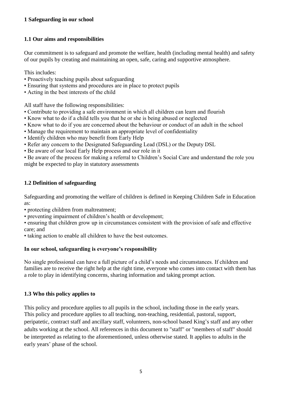# <span id="page-4-0"></span>**1 Safeguarding in our school**

# <span id="page-4-1"></span>**1.1 Our aims and responsibilities**

Our commitment is to safeguard and promote the welfare, health (including mental health) and safety of our pupils by creating and maintaining an open, safe, caring and supportive atmosphere.

This includes:

- Proactively teaching pupils about safeguarding
- Ensuring that systems and procedures are in place to protect pupils
- Acting in the best interests of the child

All staff have the following responsibilities:

- Contribute to providing a safe environment in which all children can learn and flourish
- Know what to do if a child tells you that he or she is being abused or neglected
- Know what to do if you are concerned about the behaviour or conduct of an adult in the school
- Manage the requirement to maintain an appropriate level of confidentiality
- Identify children who may benefit from Early Help
- Refer any concern to the Designated Safeguarding Lead (DSL) or the Deputy DSL
- Be aware of our local Early Help process and our role in it

• Be aware of the process for making a referral to Children's Social Care and understand the role you might be expected to play in statutory assessments

# <span id="page-4-2"></span>**1.2 Definition of safeguarding**

Safeguarding and promoting the welfare of children is defined in Keeping Children Safe in Education as:

• protecting children from maltreatment;

- preventing impairment of children's health or development;
- ensuring that children grow up in circumstances consistent with the provision of safe and effective care; and
- taking action to enable all children to have the best outcomes.

# **In our school, safeguarding is everyone's responsibility**

No single professional can have a full picture of a child's needs and circumstances. If children and families are to receive the right help at the right time, everyone who comes into contact with them has a role to play in identifying concerns, sharing information and taking prompt action.

### <span id="page-4-3"></span>**1.3 Who this policy applies to**

This policy and procedure applies to all pupils in the school, including those in the early years. This policy and procedure applies to all teaching, non-teaching, residential, pastoral, support, peripatetic, contract staff and ancillary staff, volunteers, non-school based King's staff and any other adults working at the school. All references in this document to "staff" or "members of staff" should be interpreted as relating to the aforementioned, unless otherwise stated. It applies to adults in the early years' phase of the school.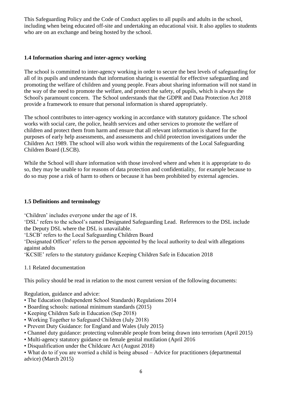This Safeguarding Policy and the Code of Conduct applies to all pupils and adults in the school, including when being educated off-site and undertaking an educational visit. It also applies to students who are on an exchange and being hosted by the school.

# <span id="page-5-0"></span>**1.4 Information sharing and inter-agency working**

The school is committed to inter-agency working in order to secure the best levels of safeguarding for all of its pupils and understands that information sharing is essential for effective safeguarding and promoting the welfare of children and young people. Fears about sharing information will not stand in the way of the need to promote the welfare, and protect the safety, of pupils, which is always the School's paramount concern. The School understands that the GDPR and Data Protection Act 2018 provide a framework to ensure that personal information is shared appropriately.

The school contributes to inter-agency working in accordance with statutory guidance. The school works with social care, the police, health services and other services to promote the welfare of children and protect them from harm and ensure that all relevant information is shared for the purposes of early help assessments, and assessments and child protection investigations under the Children Act 1989. The school will also work within the requirements of the Local Safeguarding Children Board (LSCB).

While the School will share information with those involved where and when it is appropriate to do so, they may be unable to for reasons of data protection and confidentiality, for example because to do so may pose a risk of harm to others or because it has been prohibited by external agencies.

# <span id="page-5-1"></span>**1.5 Definitions and terminology**

'Children' includes everyone under the age of 18.

'DSL' refers to the school's named Designated Safeguarding Lead. References to the DSL include the Deputy DSL where the DSL is unavailable.

'LSCB' refers to the Local Safeguarding Children Board

'Designated Officer' refers to the person appointed by the local authority to deal with allegations against adults

'KCSIE' refers to the statutory guidance Keeping Children Safe in Education 2018

1.1 Related documentation

This policy should be read in relation to the most current version of the following documents:

Regulation, guidance and advice:

- The Education (Independent School Standards) Regulations 2014
- Boarding schools: national minimum standards (2015)
- Keeping Children Safe in Education (Sep 2018)
- Working Together to Safeguard Children (July 2018)
- Prevent Duty Guidance: for England and Wales (July 2015)
- Channel duty guidance: protecting vulnerable people from being drawn into terrorism (April 2015)
- Multi-agency statutory guidance on female genital mutilation (April 2016
- Disqualification under the Childcare Act (August 2018)

• What do to if you are worried a child is being abused – Advice for practitioners (departmental advice) (March 2015)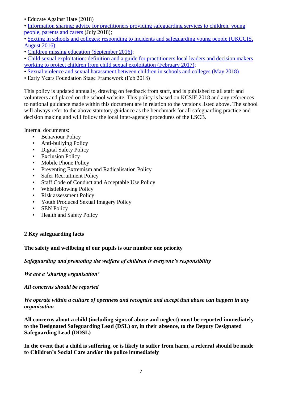• Educate Against Hate (2018)

- Information sharing: advice for practitioners providing safeguarding services to children, young [people, parents and carers](https://www.gov.uk/government/publications/safeguarding-practitioners-information-sharing-advice) (July 2018);
- [Sexting in schools and colleges: responding to incidents and safeguarding young people \(UKCCIS,](https://www.gov.uk/government/uploads/system/uploads/attachment_data/file/609874/6_2939_SP_NCA_Sexting_In_Schools_FINAL_Update_Jan17.pdf)  [August 2016\);](https://www.gov.uk/government/uploads/system/uploads/attachment_data/file/609874/6_2939_SP_NCA_Sexting_In_Schools_FINAL_Update_Jan17.pdf)
- [Children missing education \(September 2016\);](https://www.gov.uk/government/uploads/system/uploads/attachment_data/file/550416/Children_Missing_Education_-_statutory_guidance.pdf)
- [Child sexual exploitation: definition and a guide for practitioners local leaders and decision makers](https://www.gov.uk/government/uploads/system/uploads/attachment_data/file/591903/CSE_Guidance_Core_Document_13.02.2017.pdf)  [working to protect children from child sexual exploitation \(February](https://www.gov.uk/government/uploads/system/uploads/attachment_data/file/591903/CSE_Guidance_Core_Document_13.02.2017.pdf) 2017);
- [Sexual violence and sexual harassment between children in schools and colleges \(May 2018\)](https://www.gov.uk/government/uploads/system/uploads/attachment_data/file/667862/Sexual_Harassment_and_Sexual_Violence_-_Advice.pdf)
- Early Years Foundation Stage Framework (Feb 2018)

This policy is updated annually, drawing on feedback from staff, and is published to all staff and volunteers and placed on the school website. This policy is based on KCSIE 2018 and any references to national guidance made within this document are in relation to the versions listed above. The school will always refer to the above statutory guidance as the benchmark for all safeguarding practice and decision making and will follow the local inter-agency procedures of the LSCB.

Internal documents:

- Behaviour Policy
- Anti-bullying Policy
- Digital Safety Policy
- **Exclusion Policy**
- Mobile Phone Policy
- Preventing Extremism and Radicalisation Policy
- Safer Recruitment Policy
- Staff Code of Conduct and Acceptable Use Policy
- Whistleblowing Policy
- Risk assessment Policy
- Youth Produced Sexual Imagery Policy
- **SEN Policy**
- Health and Safety Policy

# <span id="page-6-0"></span>**2 Key safeguarding facts**

### **The safety and wellbeing of our pupils is our number one priority**

### *Safeguarding and promoting the welfare of children is everyone's responsibility*

*We are a 'sharing organisation'* 

*All concerns should be reported* 

*We operate within a culture of openness and recognise and accept that abuse can happen in any organisation*

**All concerns about a child (including signs of abuse and neglect) must be reported immediately to the Designated Safeguarding Lead (DSL) or, in their absence, to the Deputy Designated Safeguarding Lead (DDSL)** 

**In the event that a child is suffering, or is likely to suffer from harm, a referral should be made to Children's Social Care and/or the police immediately**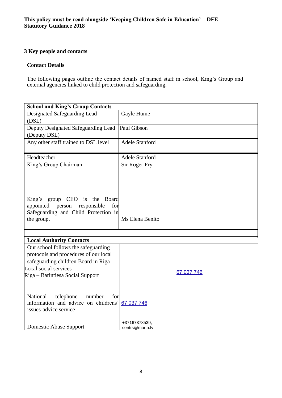# <span id="page-7-0"></span>**3 Key people and contacts**

#### **Contact Details**

The following pages outline the contact details of named staff in school, King's Group and external agencies linked to child protection and safeguarding.

| <b>School and King's Group Contacts</b>                                                                                       |                                  |
|-------------------------------------------------------------------------------------------------------------------------------|----------------------------------|
| Designated Safeguarding Lead<br>(DSL)                                                                                         | Gayle Hume                       |
| Deputy Designated Safeguarding Lead<br>(Deputy DSL)                                                                           | Paul Gibson                      |
| Any other staff trained to DSL level                                                                                          | <b>Adele Stanford</b>            |
| Headteacher                                                                                                                   | <b>Adele Stanford</b>            |
| King's Group Chairman                                                                                                         | Sir Roger Fry                    |
| King's group CEO is the Board<br>appointed person<br>responsible<br>for<br>Safeguarding and Child Protection in<br>the group. | Ms Elena Benito                  |
| <b>Local Authority Contacts</b>                                                                                               |                                  |
| Our school follows the safeguarding                                                                                           |                                  |
| protocols and procedures of our local                                                                                         |                                  |
| safeguarding children Board in Riga                                                                                           |                                  |
| Local social services-<br>Riga - Barintiesa Social Support                                                                    | 67 037 746                       |
| National<br>telephone<br>for<br>number<br>information and advice on childrens'<br>issues-advice service                       | 67 037 746                       |
| Domestic Abuse Support                                                                                                        | +37167378539,<br>centrs@marta.lv |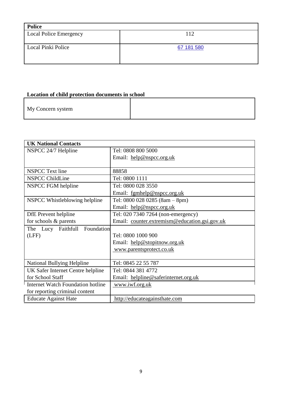| <b>Police</b>          |            |
|------------------------|------------|
| Local Police Emergency | 112        |
|                        |            |
| Local Pinki Police     | 67 181 580 |
|                        |            |
|                        |            |

# **Location of child protection documents in school**

|--|

| <b>UK National Contacts</b>              |                                               |  |
|------------------------------------------|-----------------------------------------------|--|
| NSPCC 24/7 Helpline                      | Tel: 0808 800 5000                            |  |
|                                          | Email: help@nspcc.org.uk                      |  |
|                                          |                                               |  |
| <b>NSPCC</b> Text line                   | 88858                                         |  |
| <b>NSPCC ChildLine</b>                   | Tel: 0800 1111                                |  |
| NSPCC FGM helpline                       | Tel: 0800 028 3550                            |  |
|                                          | Email: fgmhelp@nspcc.org.uk                   |  |
| NSPCC Whistleblowing helpline            | Tel: $08000280285(8am - 8pm)$                 |  |
|                                          | Email: help@nspcc.org.uk                      |  |
| DfE Prevent helpline                     | Tel: 020 7340 7264 (non-emergency)            |  |
| for schools & parents                    | Email: counter.extremism@education.gsi.gov.uk |  |
| The Lucy Faithfull Foundation            |                                               |  |
| (LFF)                                    | Tel: 0800 1000 900                            |  |
|                                          | Email: help@stopitnow.org.uk                  |  |
|                                          | www.parentsprotect.co.uk                      |  |
|                                          |                                               |  |
| <b>National Bullying Helpline</b>        | Tel: 0845 22 55 787                           |  |
| UK Safer Internet Centre helpline        | Tel: 0844 381 4772                            |  |
| for School Staff                         | Email: helpline@saferinternet.org.uk          |  |
| <b>Internet Watch Foundation hotline</b> | www.iwf.org.uk                                |  |
| for reporting criminal content           |                                               |  |
| <b>Educate Against Hate</b>              | http://educateagainsthate.com                 |  |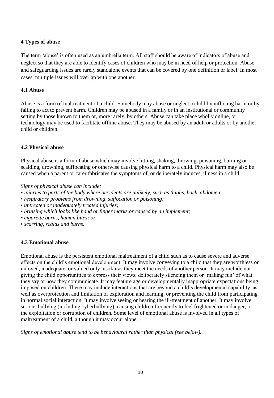# <span id="page-9-0"></span>**4 Types of abuse**

The term 'abuse' is often used as an umbrella term. All staff should be aware of indicators of abuse and neglect so that they are able to identify cases of children who may be in need of help or protection. Abuse and safeguarding issues are rarely standalone events that can be covered by one definition or label. In most cases, multiple issues will overlap with one another.

# <span id="page-9-1"></span>**4.1 Abuse**

Abuse is a form of maltreatment of a child. Somebody may abuse or neglect a child by inflicting harm or by failing to act to prevent harm. Children may be abused in a family or in an institutional or community setting by those known to them or, more rarely, by others. Abuse can take place wholly online, or technology may be used to facilitate offline abuse. They may be abused by an adult or adults or by another child or children.

### <span id="page-9-2"></span>**4.2 Physical abuse**

Physical abuse is a form of abuse which may involve hitting, shaking, throwing, poisoning, burning or scalding, drowning, suffocating or otherwise causing physical harm to a child. Physical harm may also be caused when a parent or carer fabricates the symptoms of, or deliberately induces, illness in a child.

*Signs of physical abuse can include:* 

- *injuries to parts of the body where accidents are unlikely, such as thighs, back, abdomen;*
- *respiratory problems from drowning, suffocation or poisoning;*
- *untreated or inadequately treated injuries;*
- *bruising which looks like hand or finger marks or caused by an implement;*
- *cigarette burns, human bites; or*
- <span id="page-9-3"></span>• *scarring, scalds and burns.*

#### **4.3 Emotional abuse**

Emotional abuse is the persistent emotional maltreatment of a child such as to cause severe and adverse effects on the child's emotional development. It may involve conveying to a child that they are worthless or unloved, inadequate, or valued only insofar as they meet the needs of another person. It may include not giving the child opportunities to express their views, deliberately silencing them or 'making fun' of what they say or how they communicate. It may feature age or developmentally inappropriate expectations being imposed on children. These may include interactions that are beyond a child's developmental capability, as well as overprotection and limitation of exploration and learning, or preventing the child from participating in normal social interaction. It may involve seeing or hearing the ill-treatment of another. It may involve serious bullying (including cyberbullying), causing children frequently to feel frightened or in danger, or the exploitation or corruption of children. Some level of emotional abuse is involved in all types of maltreatment of a child, although it may occur alone.

*Signs of emotional abuse tend to be behavioural rather than physical (see below).*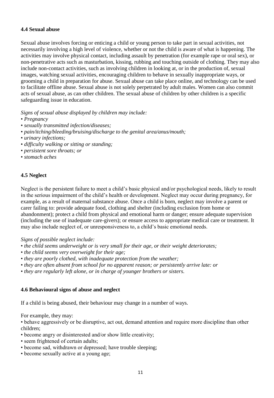# <span id="page-10-0"></span>**4.4 Sexual abuse**

Sexual abuse involves forcing or enticing a child or young person to take part in sexual activities, not necessarily involving a high level of violence, whether or not the child is aware of what is happening. The activities may involve physical contact, including assault by penetration (for example rape or oral sex), or non-penetrative acts such as masturbation, kissing, rubbing and touching outside of clothing. They may also include non-contact activities, such as involving children in looking at, or in the production of, sexual images, watching sexual activities, encouraging children to behave in sexually inappropriate ways, or grooming a child in preparation for abuse. Sexual abuse can take place online, and technology can be used to facilitate offline abuse. Sexual abuse is not solely perpetrated by adult males. Women can also commit acts of sexual abuse, as can other children. The sexual abuse of children by other children is a specific safeguarding issue in education.

*Signs of sexual abuse displayed by children may include:* 

- *Pregnancy*
- *sexually transmitted infection/diseases;*
- *pain/itching/bleeding/bruising/discharge to the genital area/anus/mouth;*
- *urinary infections;*
- *difficulty walking or sitting or standing;*
- *persistent sore throats; or*
- <span id="page-10-1"></span>• *stomach aches*

#### **4.5 Neglect**

Neglect is the persistent failure to meet a child's basic physical and/or psychological needs, likely to result in the serious impairment of the child's health or development. Neglect may occur during pregnancy, for example, as a result of maternal substance abuse. Once a child is born, neglect may involve a parent or carer failing to: provide adequate food, clothing and shelter (including exclusion from home or abandonment); protect a child from physical and emotional harm or danger; ensure adequate supervision (including the use of inadequate care-givers); or ensure access to appropriate medical care or treatment. It may also include neglect of, or unresponsiveness to, a child's basic emotional needs.

#### *Signs of possible neglect include:*

• *the child seems underweight or is very small for their age, or their weight deteriorates;* 

- *the child seems very overweight for their age;*
- *they are poorly clothed, with inadequate protection from the weather;*
- *they are often absent from school for no apparent reason; or persistently arrive late: or*
- <span id="page-10-2"></span>• *they are regularly left alone, or in charge of younger brothers or sisters.*

#### **4.6 Behavioural signs of abuse and neglect**

If a child is being abused, their behaviour may change in a number of ways.

For example, they may:

• behave aggressively or be disruptive, act out, demand attention and require more discipline than other children;

- become angry or disinterested and/or show little creativity;
- seem frightened of certain adults;
- become sad, withdrawn or depressed; have trouble sleeping;
- become sexually active at a young age;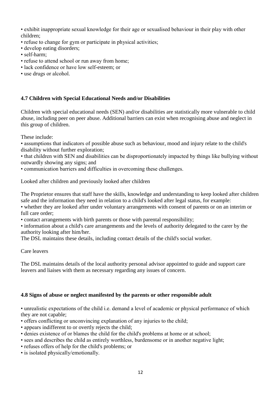• exhibit inappropriate sexual knowledge for their age or sexualised behaviour in their play with other children;

- refuse to change for gym or participate in physical activities;
- develop eating disorders;
- self-harm;
- refuse to attend school or run away from home;
- lack confidence or have low self-esteem; or
- <span id="page-11-0"></span>• use drugs or alcohol.

#### **4.7 Children with Special Educational Needs and/or Disabilities**

Children with special educational needs (SEN) and/or disabilities are statistically more vulnerable to child abuse, including peer on peer abuse. Additional barriers can exist when recognising abuse and neglect in this group of children.

These include:

• assumptions that indicators of possible abuse such as behaviour, mood and injury relate to the child's disability without further exploration;

• that children with SEN and disabilities can be disproportionately impacted by things like bullying without outwardly showing any signs; and

• communication barriers and difficulties in overcoming these challenges.

Looked after children and previously looked after children

The Proprietor ensures that staff have the skills, knowledge and understanding to keep looked after children safe and the information they need in relation to a child's looked after legal status, for example: • whether they are looked after under voluntary arrangements with consent of parents or on an interim or full care order;

• contact arrangements with birth parents or those with parental responsibility;

• information about a child's care arrangements and the levels of authority delegated to the carer by the authority looking after him/her.

The DSL maintains these details, including contact details of the child's social worker.

Care leavers

<span id="page-11-1"></span>The DSL maintains details of the local authority personal advisor appointed to guide and support care leavers and liaises with them as necessary regarding any issues of concern.

#### **4.8 Signs of abuse or neglect manifested by the parents or other responsible adult**

• unrealistic expectations of the child i.e. demand a level of academic or physical performance of which they are not capable;

- offers conflicting or unconvincing explanation of any injuries to the child;
- appears indifferent to or overtly rejects the child;
- denies existence of or blames the child for the child's problems at home or at school;
- sees and describes the child as entirely worthless, burdensome or in another negative light;
- refuses offers of help for the child's problems; or
- is isolated physically/emotionally.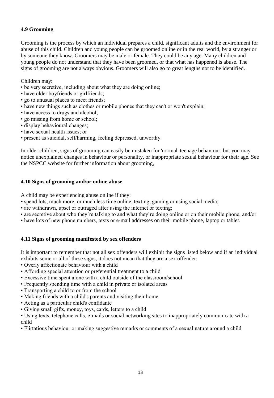# <span id="page-12-0"></span>**4.9 Grooming**

Grooming is the process by which an individual prepares a child, significant adults and the environment for abuse of this child. Children and young people can be groomed online or in the real world, by a stranger or by someone they know. Groomers may be male or female. They could be any age. Many children and young people do not understand that they have been groomed, or that what has happened is abuse. The signs of grooming are not always obvious. Groomers will also go to great lengths not to be identified.

Children may:

- be very secretive, including about what they are doing online;
- have older boyfriends or girlfriends;
- go to unusual places to meet friends;
- have new things such as clothes or mobile phones that they can't or won't explain;
- have access to drugs and alcohol;
- go missing from home or school;
- display behavioural changes;
- have sexual health issues; or
- present as suicidal, self/harming, feeling depressed, unworthy.

<span id="page-12-1"></span>In older children, signs of grooming can easily be mistaken for 'normal' teenage behaviour, but you may notice unexplained changes in behaviour or personality, or inappropriate sexual behaviour for their age. See the NSPCC website for further information about grooming,

### **4.10 Signs of grooming and/or online abuse**

A child may be experiencing abuse online if they:

- spend lots, much more, or much less time online, texting, gaming or using social media;
- are withdrawn, upset or outraged after using the internet or texting;
- are secretive about who they're talking to and what they're doing online or on their mobile phone; and/or
- <span id="page-12-2"></span>• have lots of new phone numbers, texts or e-mail addresses on their mobile phone, laptop or tablet.

# **4.11 Signs of grooming manifested by sex offenders**

It is important to remember that not all sex offenders will exhibit the signs listed below and if an individual exhibits some or all of these signs, it does not mean that they are a sex offender:

- Overly affectionate behaviour with a child
- Affording special attention or preferential treatment to a child
- Excessive time spent alone with a child outside of the classroom/school
- Frequently spending time with a child in private or isolated areas
- Transporting a child to or from the school
- Making friends with a child's parents and visiting their home
- Acting as a particular child's confidante
- Giving small gifts, money, toys, cards, letters to a child

• Using texts, telephone calls, e-mails or social networking sites to inappropriately communicate with a child

• Flirtatious behaviour or making suggestive remarks or comments of a sexual nature around a child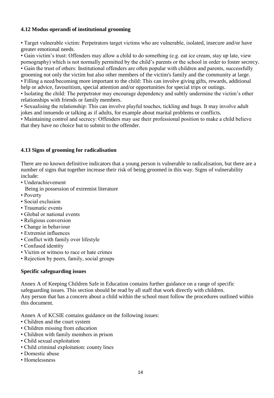# <span id="page-13-0"></span>**4.12 Modus operandi of institutional grooming**

• Target vulnerable victim: Perpetrators target victims who are vulnerable, isolated, insecure and/or have greater emotional needs.

• Gain victim's trust: Offenders may allow a child to do something (e.g. eat ice cream, stay up late, view pornography) which is not normally permitted by the child's parents or the school in order to foster secrecy. • Gain the trust of others: Institutional offenders are often popular with children and parents, successfully

grooming not only the victim but also other members of the victim's family and the community at large. • Filling a need/becoming more important to the child: This can involve giving gifts, rewards, additional help or advice, favouritism, special attention and/or opportunities for special trips or outings.

• Isolating the child: The perpetrator may encourage dependency and subtly undermine the victim's other relationships with friends or family members.

• Sexualising the relationship: This can involve playful touches, tickling and hugs. It may involve adult jokes and innuendo or talking as if adults, for example about marital problems or conflicts.

<span id="page-13-1"></span>• Maintaining control and secrecy: Offenders may use their professional position to make a child believe that they have no choice but to submit to the offender.

### **4.13 Signs of grooming for radicalisation**

There are no known definitive indicators that a young person is vulnerable to radicalisation, but there are a number of signs that together increase their risk of being groomed in this way. Signs of vulnerability include:

- Underachievement
- Being in possession of extremist literature
- Poverty
- Social exclusion
- Traumatic events
- Global or national events
- Religious conversion
- Change in behaviour
- Extremist influences
- Conflict with family over lifestyle
- Confused identity
- Victim or witness to race or hate crimes
- Rejection by peers, family, social groups

# **Specific safeguarding issues**

Annex A of Keeping Children Safe in Education contains further guidance on a range of specific safeguarding issues. This section should be read by all staff that work directly with children. Any person that has a concern about a child within the school must follow the procedures outlined within this document.

Annex A of KCSIE contains guidance on the following issues:

- Children and the court system
- Children missing from education
- Children with family members in prison
- Child sexual exploitation
- Child criminal exploitation: county lines
- Domestic abuse
- Homelessness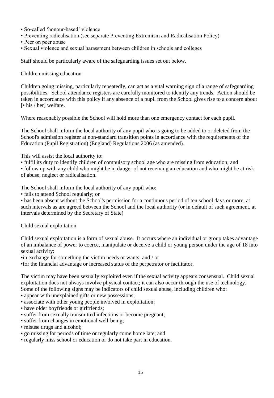- So-called 'honour-based' violence
- Preventing radicalisation (see separate Preventing Extremism and Radicalisation Policy)
- Peer on peer abuse
- Sexual violence and sexual harassment between children in schools and colleges

Staff should be particularly aware of the safeguarding issues set out below.

Children missing education

Children going missing, particularly repeatedly, can act as a vital warning sign of a range of safeguarding possibilities. School attendance registers are carefully monitored to identify any trends. Action should be taken in accordance with this policy if any absence of a pupil from the School gives rise to a concern about [• his / her] welfare.

Where reasonably possible the School will hold more than one emergency contact for each pupil.

The School shall inform the local authority of any pupil who is going to be added to or deleted from the School's admission register at non-standard transition points in accordance with the requirements of the Education (Pupil Registration) (England) Regulations 2006 (as amended).

This will assist the local authority to:

• fulfil its duty to identify children of compulsory school age who are missing from education; and

• follow up with any child who might be in danger of not receiving an education and who might be at risk of abuse, neglect or radicalisation.

The School shall inform the local authority of any pupil who:

• fails to attend School regularly; or

• has been absent without the School's permission for a continuous period of ten school days or more, at such intervals as are agreed between the School and the local authority (or in default of such agreement, at intervals determined by the Secretary of State)

Child sexual exploitation

Child sexual exploitation is a form of sexual abuse. It occurs where an individual or group takes advantage of an imbalance of power to coerce, manipulate or deceive a child or young person under the age of 18 into sexual activity:

•in exchange for something the victim needs or wants; and / or

•for the financial advantage or increased status of the perpetrator or facilitator.

The victim may have been sexually exploited even if the sexual activity appears consensual. Child sexual exploitation does not always involve physical contact; it can also occur through the use of technology. Some of the following signs may be indicators of child sexual abuse, including children who:

- appear with unexplained gifts or new possessions;
- associate with other young people involved in exploitation;
- have older boyfriends or girlfriends;
- suffer from sexually transmitted infections or become pregnant;
- suffer from changes in emotional well-being;
- misuse drugs and alcohol;
- go missing for periods of time or regularly come home late; and
- regularly miss school or education or do not take part in education.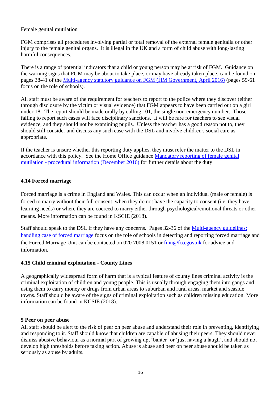# Female genital mutilation

FGM comprises all procedures involving partial or total removal of the external female genitalia or other injury to the female genital organs. It is illegal in the UK and a form of child abuse with long-lasting harmful consequences.

There is a range of potential indicators that a child or young person may be at risk of FGM. Guidance on the warning signs that FGM may be about to take place, or may have already taken place, can be found on pages 38-41 of the [Multi-agency statutory guidance on FGM \(HM Government, April 2016\)](https://www.gov.uk/government/uploads/system/uploads/attachment_data/file/512906/Multi_Agency_Statutory_Guidance_on_FGM__-_FINAL.pdf) (pages 59-61 focus on the role of schools).

All staff must be aware of the requirement for teachers to report to the police where they discover (either through disclosure by the victim or visual evidence) that FGM appears to have been carried out on a girl under 18. The report should be made orally by calling 101, the single non-emergency number. Those failing to report such cases will face disciplinary sanctions. It will be rare for teachers to see visual evidence, and they should not be examining pupils. Unless the teacher has a good reason not to, they should still consider and discuss any such case with the DSL and involve children's social care as appropriate.

<span id="page-15-0"></span>If the teacher is unsure whether this reporting duty applies, they must refer the matter to the DSL in accordance with this policy. See the Home Office guidance [Mandatory reporting of female genital](https://www.gov.uk/government/uploads/system/uploads/attachment_data/file/573782/FGM_Mandatory_Reporting_-_procedural_information_nov16_FINAL.pdf)  mutilation - [procedural information \(December 2016\)](https://www.gov.uk/government/uploads/system/uploads/attachment_data/file/573782/FGM_Mandatory_Reporting_-_procedural_information_nov16_FINAL.pdf) for further details about the duty

#### **4.14 Forced marriage**

Forced marriage is a crime in England and Wales. This can occur when an individual (male or female) is forced to marry without their full consent, when they do not have the capacity to consent (i.e. they have learning needs) or where they are coerced to marry either through psychological/emotional threats or other means. More information can be found in KSCIE (2018).

Staff should speak to the DSL if they have any concerns. Pages 32-36 of the Multi-agency guidelines: [handling case of forced marriage](https://www.gov.uk/government/uploads/system/uploads/attachment_data/file/322307/HMG_MULTI_AGENCY_PRACTICE_GUIDELINES_v1_180614_FINAL.pdf) focus on the role of schools in detecting and reporting forced marriage and the Forced Marriage Unit can be contacted on 020 7008 0151 or  $f_{mu@}$  for gov.uk for advice and information.

#### <span id="page-15-1"></span>**4.15 Child criminal exploitation - County Lines**

A geographically widespread form of harm that is a typical feature of county lines criminal activity is the criminal exploitation of children and young people. This is usually through engaging them into gangs and using them to carry money or drugs from urban areas to suburban and rural areas, market and seaside towns. Staff should be aware of the signs of criminal exploitation such as children missing education. More information can be found in KCSIE (2018).

#### <span id="page-15-2"></span>**5 Peer on peer abuse**

All staff should be alert to the risk of peer on peer abuse and understand their role in preventing, identifying and responding to it. Staff should know that children are capable of abusing their peers. They should never dismiss abusive behaviour as a normal part of growing up, 'banter' or 'just having a laugh', and should not develop high thresholds before taking action. Abuse is abuse and peer on peer abuse should be taken as seriously as abuse by adults.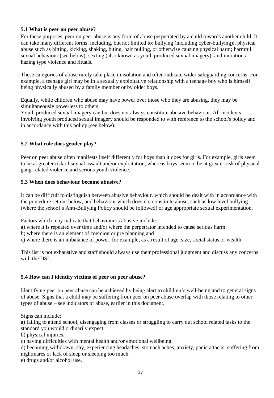# <span id="page-16-0"></span>**5.1 What is peer on peer abuse?**

For these purposes, peer on peer abuse is any form of abuse perpetrated by a child towards another child. It can take many different forms, including, but not limited to: bullying (including cyber-bullying);, physical abuse such as hitting, kicking, shaking, biting, hair pulling, or otherwise causing physical harm; harmful sexual behaviour (see below); sexting (also known as youth produced sexual imagery); and initiation / hazing type violence and rituals.

These categories of abuse rarely take place in isolation and often indicate wider safeguarding concerns. For example, a teenage girl may be in a sexually exploitative relationship with a teenage boy who is himself being physically abused by a family member or by older boys.

Equally, while children who abuse may have power over those who they are abusing, they may be simultaneously powerless to others.

<span id="page-16-1"></span>Youth produced sexual imagery can but does not always constitute abusive behaviour. All incidents involving youth produced sexual imagery should be responded to with reference to the school's policy and in accordance with this policy (see below).

#### **5.2 What role does gender play?**

<span id="page-16-2"></span>Peer on peer abuse often manifests itself differently for boys than it does for girls. For example, girls seem to be at greater risk of sexual assault and/or exploitation, whereas boys seem to be at greater risk of physical gang-related violence and serious youth violence.

#### **5.3 When does behaviour become abusive?**

It can be difficult to distinguish between abusive behaviour, which should be dealt with in accordance with the procedure set out below, and behaviour which does not constitute abuse, such as low level bullying (where the school's Anti-Bullying Policy should be followed) or age appropriate sexual experimentation.

Factors which may indicate that behaviour is abusive include:

a) where it is repeated over time and/or where the perpetrator intended to cause serious harm:

b) where there is an element of coercion or pre planning and

c) where there is an imbalance of power, for example, as a result of age, size, social status or wealth.

<span id="page-16-3"></span>This list is not exhaustive and staff should always use their professional judgment and discuss any concerns with the DSL.

# **5.4 How can I identify victims of peer on peer abuse?**

Identifying peer on peer abuse can be achieved by being alert to children's well-being and to general signs of abuse. Signs that a child may be suffering from peer on peer abuse overlap with those relating to other types of abuse – see indicators of abuse, earlier in this document.

Signs can include:

a) failing to attend school, disengaging from classes or struggling to carry out school related tasks to the standard you would ordinarily expect.

b) physical injuries.

c) having difficulties with mental health and/or emotional wellbeing.

d) becoming withdrawn, shy, experiencing headaches, stomach aches, anxiety, panic attacks, suffering from nightmares or lack of sleep or sleeping too much.

e) drugs and/or alcohol use.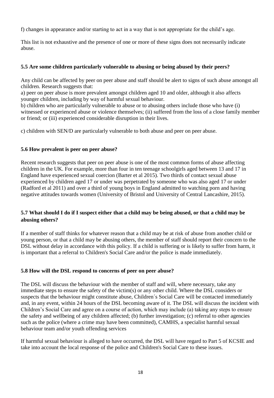f) changes in appearance and/or starting to act in a way that is not appropriate for the child's age.

<span id="page-17-0"></span>This list is not exhaustive and the presence of one or more of these signs does not necessarily indicate abuse.

### **5.5 Are some children particularly vulnerable to abusing or being abused by their peers?**

Any child can be affected by peer on peer abuse and staff should be alert to signs of such abuse amongst all children. Research suggests that:

a) peer on peer abuse is more prevalent amongst children aged 10 and older, although it also affects younger children, including by way of harmful sexual behaviour.

b) children who are particularly vulnerable to abuse or to abusing others include those who have (i) witnessed or experienced abuse or violence themselves; (ii) suffered from the loss of a close family member or friend; or (iii) experienced considerable disruption in their lives.

<span id="page-17-1"></span>c) children with SEN/D are particularly vulnerable to both abuse and peer on peer abuse.

### **5.6 How prevalent is peer on peer abuse?**

Recent research suggests that peer on peer abuse is one of the most common forms of abuse affecting children in the UK. For example, more than four in ten teenage schoolgirls aged between 13 and 17 in England have experienced sexual coercion (Barter et al 2015). Two thirds of contact sexual abuse experienced by children aged 17 or under was perpetrated by someone who was also aged 17 or under (Radford et al 2011) and over a third of young boys in England admitted to watching porn and having negative attitudes towards women (University of Bristol and University of Central Lancashire, 2015).

# <span id="page-17-2"></span>**5.7 What should I do if I suspect either that a child may be being abused, or that a child may be abusing others?**

If a member of staff thinks for whatever reason that a child may be at risk of abuse from another child or young person, or that a child may be abusing others, the member of staff should report their concern to the DSL without delay in accordance with this policy. If a child is suffering or is likely to suffer from harm, it is important that a referral to Children's Social Care and/or the police is made immediately.

#### <span id="page-17-3"></span>**5.8 How will the DSL respond to concerns of peer on peer abuse?**

The DSL will discuss the behaviour with the member of staff and will, where necessary, take any immediate steps to ensure the safety of the victim(s) or any other child. Where the DSL considers or suspects that the behaviour might constitute abuse, Children´s Social Care will be contacted immediately and, in any event, within 24 hours of the DSL becoming aware of it. The DSL will discuss the incident with Children's Social Care and agree on a course of action, which may include (a) taking any steps to ensure the safety and wellbeing of any children affected; (b) further investigation; (c) referral to other agencies such as the police (where a crime may have been committed), CAMHS, a specialist harmful sexual behaviour team and/or youth offending services

If harmful sexual behaviour is alleged to have occurred, the DSL will have regard to Part 5 of KCSIE and take into account the local response of the police and Children's Social Care to these issues.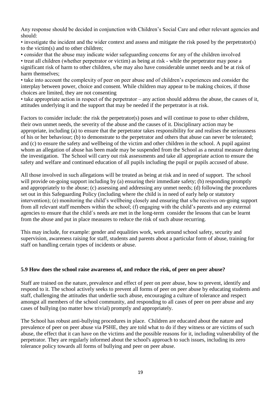Any response should be decided in conjunction with Children's Social Care and other relevant agencies and should:

• investigate the incident and the wider context and assess and mitigate the risk posed by the perpetrator(s) to the victim(s) and to other children;

• consider that the abuse may indicate wider safeguarding concerns for any of the children involved

• treat all children (whether perpetrator or victim) as being at risk - while the perpetrator may pose a significant risk of harm to other children, s/he may also have considerable unmet needs and be at risk of harm themselves;

• take into account the complexity of peer on peer abuse and of children's experiences and consider the interplay between power, choice and consent. While children may appear to be making choices, if those choices are limited, they are not consenting

• take appropriate action in respect of the perpetrator – any action should address the abuse, the causes of it, attitudes underlying it and the support that may be needed if the perpetrator is at risk.

Factors to consider include: the risk the perpetrator(s) poses and will continue to pose to other children, their own unmet needs, the severity of the abuse and the causes of it. Disciplinary action may be appropriate, including (a) to ensure that the perpetrator takes responsibility for and realises the seriousness of his or her behaviour; (b) to demonstrate to the perpetrator and others that abuse can never be tolerated; and (c) to ensure the safety and wellbeing of the victim and other children in the school. A pupil against whom an allegation of abuse has been made may be suspended from the School as a neutral measure during the investigation. The School will carry out risk assessments and take all appropriate action to ensure the safety and welfare and continued education of all pupils including the pupil or pupils accused of abuse.

All those involved in such allegations will be treated as being at risk and in need of support. The school will provide on-going support including by (a) ensuring their immediate safety; (b) responding promptly and appropriately to the abuse; (c) assessing and addressing any unmet needs; (d) following the procedures set out in this Safeguarding Policy (including where the child is in need of early help or statutory intervention); (e) monitoring the child's wellbeing closely and ensuring that s/he receives on-going support from all relevant staff members within the school; (f) engaging with the child's parents and any external agencies to ensure that the child´s needs are met in the long-term consider the lessons that can be learnt from the abuse and put in place measures to reduce the risk of such abuse recurring.

This may include, for example: gender and equalities work, work around school safety, security and supervision, awareness raising for staff, students and parents about a particular form of abuse, training for staff on handling certain types of incidents or abuse.

# <span id="page-18-0"></span>**5.9 How does the school raise awareness of, and reduce the risk, of peer on peer abuse?**

Staff are trained on the nature, prevalence and effect of peer on peer abuse, how to prevent, identify and respond to it. The school actively seeks to prevent all forms of peer on peer abuse by educating students and staff, challenging the attitudes that underlie such abuse, encouraging a culture of tolerance and respect amongst all members of the school community, and responding to all cases of peer on peer abuse and any cases of bullying (no matter how trivial) promptly and appropriately.

The School has robust anti-bullying procedures in place. Children are educated about the nature and prevalence of peer on peer abuse via PSHE, they are told what to do if they witness or are victims of such abuse, the effect that it can have on the victims and the possible reasons for it, including vulnerability of the perpetrator. They are regularly informed about the school's approach to such issues, including its zero tolerance policy towards all forms of bullying and peer on peer abuse.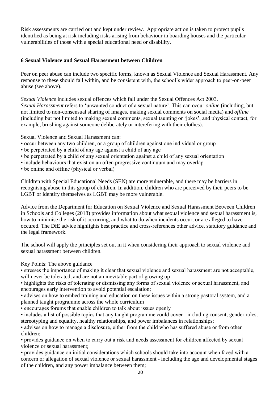<span id="page-19-0"></span>Risk assessments are carried out and kept under review. Appropriate action is taken to protect pupils identified as being at risk including risks arising from behaviour in boarding houses and the particular vulnerabilities of those with a special educational need or disability.

# **6 Sexual Violence and Sexual Harassment between Children**

Peer on peer abuse can include two specific forms, known as Sexual Violence and Sexual Harassment. Any response to these should fall within, and be consistent with, the school's wider approach to peer-on-peer abuse (see above).

*Sexual Violence* includes sexual offences which fall under the Sexual Offences Act 2003.

*Sexual Harassment* refers to 'unwanted conduct of a sexual nature'. This can occur *online* (including, but not limited to non-consensual sharing of images, making sexual comments on social media) and *offline*  (including but not limited to making sexual comments, sexual taunting or 'jokes', and physical contact, for example, brushing against someone deliberately or interefering with their clothes).

Sexual Violence and Sexual Harassment can:

- occur between any two children, or a group of children against one individual or group
- be perpetrated by a child of any age against a child of any age
- be perpetrated by a child of any sexual orientation against a child of any sexual orientation
- include behaviours that exist on an often progressive continuum and may overlap
- be online and offline (physical or verbal)

Children with Special Educational Needs (SEN) are more vulnerable, and there may be barriers in recognising abuse in this group of children. In addition, children who are perceived by their peers to be LGBT or identify themselves as LGBT may be more vulnerable.

Advice from the Department for Education on Sexual Violence and Sexual Harassment Between Children in Schools and Colleges (2018) provides information about what sexual violence and sexual harassment is, how to minimise the risk of it occurring, and what to do when incidents occur, or are alleged to have occured. The DfE advice highlights best practice and cross-references other advice, statutory guidance and the legal framework.

The school will apply the principles set out in it when considering their approach to sexual violence and sexual harassment between children.

Key Points: The above guidance

• stresses the importance of making it clear that sexual violence and sexual harassment are not acceptable, will never be tolerated, and are not an inevitable part of growing up

• highlights the risks of tolerating or dismissing any forms of sexual violence or sexual harassment, and encourages early intervention to avoid potential escalation;

• advises on how to embed training and education on these issues within a strong pastoral system, and a planned taught programme across the whole curriculum

• encourages forums that enable children to talk about issues openly

• includes a list of possible topics that any taught programme could cover - including consent, gender roles, stereotyping and equality, healthy relationships, and power imbalances in relationships;

• advises on how to manage a disclosure, either from the child who has suffered abuse or from other children;

• provides guidance on when to carry out a risk and needs assessment for children affected by sexual violence or sexual harassment;

• provides guidance on initial considerations which schools should take into account when faced with a concern or allegation of sexual violence or sexual harassment - including the age and developmental stages of the children, and any power imbalance between them;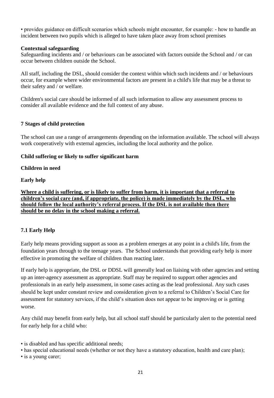• provides guidance on difficult scenarios which schools might encounter, for example: - how to handle an incident between two pupils which is alleged to have taken place away from school premises

#### **Contextual safeguarding**

Safeguarding incidents and / or behaviours can be associated with factors outside the School and / or can occur between children outside the School.

All staff, including the DSL, should consider the context within which such incidents and / or behaviours occur, for example where wider environmental factors are present in a child's life that may be a threat to their safety and / or welfare.

<span id="page-20-0"></span>Children's social care should be informed of all such information to allow any assessment process to consider all available evidence and the full context of any abuse.

# **7 Stages of child protection**

The school can use a range of arrangements depending on the information available. The school will always work cooperatively with external agencies, including the local authority and the police.

### **Child suffering or likely to suffer significant harm**

#### **Children in need**

### **Early help**

**Where a child is suffering, or is likely to suffer from harm, it is important that a referral to children's social care (and, if appropriate, the police) is made immediately by the DSL, who should follow the local authority's referral process. If the DSL is not available then there should be no delay in the school making a referral.** 

# <span id="page-20-1"></span>**7.1 Early Help**

Early help means providing support as soon as a problem emerges at any point in a child's life, from the foundation years through to the teenage years. The School understands that providing early help is more effective in promoting the welfare of children than reacting later.

If early help is appropriate, the DSL or DDSL will generally lead on liaising with other agencies and setting up an inter-agency assessment as appropriate. Staff may be required to support other agencies and professionals in an early help assessment, in some cases acting as the lead professional. Any such cases should be kept under constant review and consideration given to a referral to Children's Social Care for assessment for statutory services, if the child's situation does not appear to be improving or is getting worse.

Any child may benefit from early help, but all school staff should be particularly alert to the potential need for early help for a child who:

- is disabled and has specific additional needs;
- has special educational needs (whether or not they have a statutory education, health and care plan);
- is a young carer;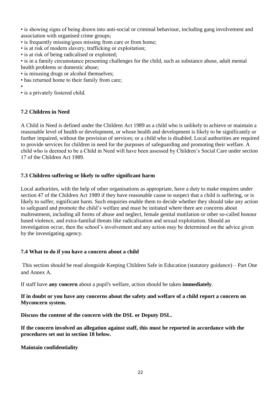• is showing signs of being drawn into anti-social or criminal behaviour, including gang involvement and association with organised crime groups;

- is frequently missing/goes missing from care or from home;
- is at risk of modern slavery, trafficking or exploitation;
- is at risk of being radicalised or exploited;

• is in a family circumstance presenting challenges for the child, such as substance abuse, adult mental health problems or domestic abuse;

- is misusing drugs or alcohol themselves;
- has returned home to their family from care;

•

<span id="page-21-0"></span>• is a privately fostered child.

# **7.2 Children in Need**

A Child in Need is defined under the Children Act 1989 as a child who is unlikely to achieve or maintain a reasonable level of health or development, or whose health and development is likely to be significantly or further impaired, without the provision of services; or a child who is disabled. Local authorities are required to provide services for children in need for the purposes of safeguarding and promoting their welfare. A child who is deemed to be a Child in Need will have been assessed by Children's Social Care under section 17 of the Children Act 1989.

# <span id="page-21-1"></span>**7.3 Children suffering or likely to suffer significant harm**

Local authorities, with the help of other organisations as appropriate, have a duty to make enquires under section 47 of the Children Act 1989 if they have reasonable cause to suspect that a child is suffering, or is likely to suffer, significant harm. Such enquiries enable them to decide whether they should take any action to safeguard and promote the child's welfare and must be initiated where there are concerns about maltreatment, including all forms of abuse and neglect, female genital mutilation or other so-called honour based violence, and extra-familial threats like radicalisation and sexual exploitation. Should an investigation occur, then the school's involvement and any action may be determined on the advice given by the investigating agency.

# <span id="page-21-2"></span>**7.4 What to do if you have a concern about a child**

This section should be read alongside Keeping Children Safe in Education (statutory guidance) – Part One and Annex A.

If staff have **any concern** about a pupil's welfare, action should be taken **immediately**.

#### **If in doubt or you have any concerns about the safety and welfare of a child report a concern on Myconcern system.**

**Discuss the content of the concern with the DSL or Deputy DSL.**

**If the concern involved an allegation against staff, this must be reported in accordance with the procedures set out in section 18 below.**

#### **Maintain confidentiality**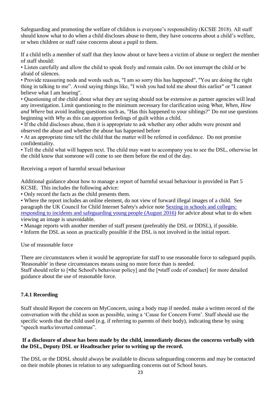Safeguarding and promoting the welfare of children is everyone's responsibility (KCSIE 2018). All staff should know what to do when a child discloses abuse to them, they have concerns about a child's welfare, or when children or staff raise concerns about a pupil to them.

If a child tells a member of staff that they know about or have been a victim of abuse or neglect the member of staff should:

• Listen carefully and allow the child to speak freely and remain calm. Do not interrupt the child or be afraid of silences.

• Provide reassuring nods and words such as, "I am so sorry this has happened", "You are doing the right thing in talking to me". Avoid saying things like, "I wish you had told me about this earlier" or "I cannot believe what I am hearing".

• Questioning of the child about what they are saying should not be extensive as partner agencies will lead any investigation. Limit questioning to the minimum necessary for clarification using *What, When, How and Where* but avoid leading questions such as, "Has this happened to your siblings?" Do *not* use questions beginning with *Why* as this can apportion feelings of guilt within a child.

• If the child discloses abuse, then it is appropriate to ask whether any other adults were present and observed the abuse and whether the abuse has happened before

• At an appropriate time tell the child that the matter will be referred in confidence. Do not promise confidentiality.

• Tell the child what will happen next. The child may want to accompany you to see the DSL, otherwise let the child know that someone will come to see them before the end of the day.

Receiving a report of harmful sexual behaviour

Additional guidance about how to manage a report of harmful sexual behaviour is provided in Part 5 KCSIE. This includes the following advice:

• Only record the facts as the child presents them.

• Where the report includes an online element, do not view of forward illegal images of a child. See paragraph the UK Council for Child Internet Safety's advice note [Sexting in schools and colleges:](https://www.gov.uk/government/uploads/system/uploads/attachment_data/file/609874/6_2939_SP_NCA_Sexting_In_Schools_FINAL_Update_Jan17.pdf)  [responding to incidents and safeguarding young people \(August](https://www.gov.uk/government/uploads/system/uploads/attachment_data/file/609874/6_2939_SP_NCA_Sexting_In_Schools_FINAL_Update_Jan17.pdf) 2016) for advice about what to do when viewing an image is unavoidable.

• Manage reports with another member of staff present (preferably the DSL or DDSL), if possible.

• Inform the DSL as soon as practically possible if the DSL is not involved in the initial report.

Use of reasonable force

There are circumstances when it would be appropriate for staff to use reasonable force to safeguard pupils. 'Reasonable' in these circumstances means using no more force than is needed.

<span id="page-22-0"></span>Staff should refer to [•the School's behaviour policy] and the [•staff code of conduct] for more detailed guidance about the use of reasonable force.

#### **7.4.1 Recording**

Staff should Report the concern on MyConcern, using a body map if needed. make a written record of the conversation with the child as soon as possible, using a 'Cause for Concern Form'. Staff should use the specific words that the child used (e.g. if referring to parents of their body), indicating these by using "speech marks/inverted commas".

#### **If a disclosure of abuse has been made by the child, immediately discuss the concerns verbally with the DSL, Deputy DSL or Headteacher prior to writing up the record.**

The DSL or the DDSL should always be available to discuss safeguarding concerns and may be contacted on their mobile phones in relation to any safeguarding concerns out of School hours.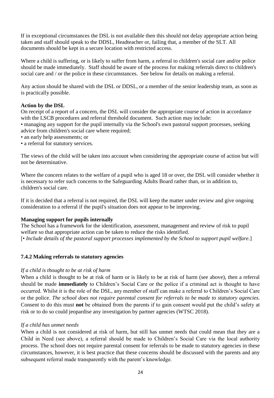If in exceptional circumstances the DSL is not available then this should not delay appropriate action being taken and staff should speak to the DDSL, Headteacher or, failing that, a member of the SLT. All documents should be kept in a secure location with restricted access.

Where a child is suffering, or is likely to suffer from harm, a referral to children's social care and/or police should be made immediately. Staff should be aware of the process for making referrals direct to children's social care and / or the police in these circumstances. See below for details on making a referral.

Any action should be shared with the DSL or DDSL, or a member of the senior leadership team, as soon as is practically possible.

#### **Action by the DSL**

On receipt of a report of a concern, the DSL will consider the appropriate course of action in accordance with the LSCB procedures and referral threshold document. Such action may include:

• managing any support for the pupil internally via the School's own pastoral support processes, seeking advice from children's social care where required;

- an early help assessments; or
- a referral for statutory services.

The views of the child will be taken into account when considering the appropriate course of action but will not be determinative.

Where the concern relates to the welfare of a pupil who is aged 18 or over, the DSL will consider whether it is necessary to refer such concerns to the Safeguarding Adults Board rather than, or in addition to, children's social care.

If it is decided that a referral is not required, the DSL will keep the matter under review and give ongoing consideration to a referral if the pupil's situation does not appear to be improving.

#### **Managing support for pupils internally**

<span id="page-23-0"></span>The School has a framework for the identification, assessment, management and review of risk to pupil welfare so that appropriate action can be taken to reduce the risks identified. [• *Include details of the pastoral support processes implemented by the School to support pupil welfare.*]

#### **7.4.2 Making referrals to statutory agencies**

#### *If a child is thought to be at risk of harm*

When a child is thought to be at risk of harm or is likely to be at risk of harm (see above), then a referral should be made **immediately** to Children's Social Care or the police if a criminal act is thought to have occurred. Whilst it is the role of the DSL, any member of staff can make a referral to Children's Social Care or the police. *The school does not require parental consent for referrals to be made to statutory agencies.*  Consent to do this must **not** be obtained from the parents if to gain consent would put the child's safety at risk or to do so could jeopardise any investigation by partner agencies (WTSC 2018).

#### *If a child has unmet needs*

When a child is not considered at risk of harm, but still has unmet needs that could mean that they are a Child in Need (see above), a referral should be made to Children's Social Care via the local authority process. The school does not require parental consent for referrals to be made to statutory agencies in these circumstances, however, it is best practice that these concerns should be discussed with the parents and any subsequent referral made transparently with the parent's knowledge.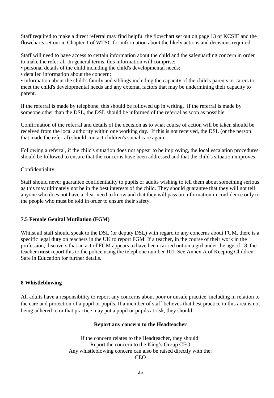Staff required to make a direct referral may find helpful the flowchart set out on page 13 of KCSIE and the flowcharts set out in Chapter 1 of WTSC for information about the likely actions and decisions required.

Staff will need to have access to certain information about the child and the safeguarding concern in order to make the referral. In general terms, this information will comprise:

• personal details of the child including the child's developmental needs;

• detailed information about the concern;

• information about the child's family and siblings including the capacity of the child's parents or carers to meet the child's developmental needs and any external factors that may be undermining their capacity to parent.

If the referral is made by telephone, this should be followed up in writing. If the referral is made by someone other than the DSL, the DSL should be informed of the referral as soon as possible.

Confirmation of the referral and details of the decision as to what course of action will be taken should be received from the local authority within one working day. If this is not received, the DSL (or the person that made the referral) should contact children's social care again.

Following a referral, if the child's situation does not appear to be improving, the local escalation procedures should be followed to ensure that the concerns have been addressed and that the child's situation improves.

#### Confidentiality

Staff should never guarantee confidentiality to pupils or adults wishing to tell them about something serious as this may ultimately not be in the best interests of the child. They should guarantee that they will not tell anyone who does not have a clear need to know and that they will pass on information in confidence only to the people who must be told in order to ensure their safety.

# <span id="page-24-0"></span>**7.5 Female Genital Mutilation (FGM)**

Whilst all staff should speak to the DSL (or deputy DSL) with regard to any concerns about FGM, there is a specific legal duty on teachers in the UK to report FGM. If a teacher, in the course of their work in the profession, discovers that an act of FGM appears to have been carried out on a girl under the age of 18, the teacher **must** report this to the police using the telephone number 101. See Annex A of Keeping Children Safe in Education for further details.

#### <span id="page-24-1"></span>**8 Whistleblowing**

All adults have a responsibility to report any concerns about poor or unsafe practice, including in relation to the care and protection of a pupil or pupils. If a member of staff believes that best practice in this area is not being adhered to or that practice may put a pupil or pupils at risk, they should:

#### **Report any concern to the Headteacher**

If the concern relates to the Headteacher, they should: Report the concern to the King's Group CEO Any whistleblowing concern can also be raised directly with the: **CEO**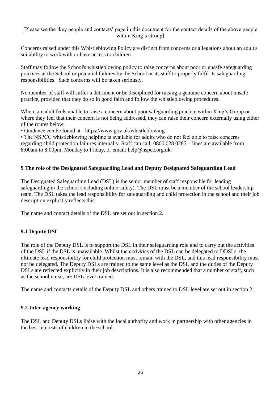# [Please see the 'key people and contacts' page in this document for the contact details of the above people within King's Group]

Concerns raised under this Whistleblowing Policy are distinct from concerns or allegations about an adult's suitability to work with or have access to children.

Staff may follow the School's whistleblowing policy to raise concerns about poor or unsafe safeguarding practices at the School or potential failures by the School or its staff to properly fulfil its safeguarding responsibilities. Such concerns will be taken seriously.

No member of staff will suffer a detriment or be disciplined for raising a genuine concern about unsafe practice, provided that they do so in good faith and follow the whistleblowing procedures.

Where an adult feels unable to raise a concern about poor safeguarding practice within King's Group or where they feel that their concern is not being addressed, they can raise their concern externally using either of the routes below:

• Guidance can be found at - https://www.gov.uk/whistleblowing

<span id="page-25-0"></span>• The NSPCC whistleblowing helpline is available for adults who do not feel able to raise concerns regarding child protection failures internally. Staff can call: 0800 028 0285 – lines are available from 8:00am to 8:00pm, Monday to Friday, or email: help@nspcc.org.uk

# **9 The role of the Designated Safeguarding Lead and Deputy Designated Safeguarding Lead**

The Designated Safeguarding Lead (DSL) is the senior member of staff responsible for leading safeguarding in the school (including online safety). The DSL must be a member of the school leadership team. The DSL takes the lead responsibility for safeguarding and child protection in the school and their job description explicitly reflects this.

<span id="page-25-1"></span>The name and contact details of the DSL are set out in section 2.

# **9.1 Deputy DSL**

The role of the Deputy DSL is to support the DSL in their safeguarding role and to carry out the activities of the DSL if the DSL is unavailable. Whilst the *activities* of the DSL can be delegated to DDSLs, the ultimate lead responsibility for child protection must remain with the DSL, and this lead responsibility must not be delegated. The Deputy DSLs are trained to the same level as the DSL and the duties of the Deputy DSLs are reflected explicitly in their job descriptions. It is also recommended that a number of staff, such as the school nurse, are DSL level trained.

<span id="page-25-2"></span>The name and contacts details of the Deputy DSL and others trained to DSL level are set out in section 2.

# **9.2 Inter-agency working**

The DSL and Deputy DSLs liaise with the local authority and work in partnership with other agencies in the best interests of children in the school.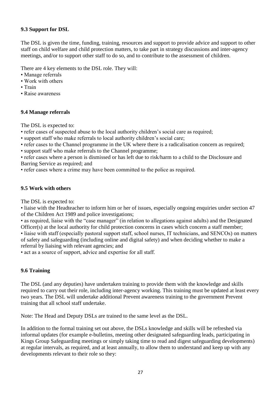# <span id="page-26-0"></span>**9.3 Support for DSL**

The DSL is given the time, funding, training, resources and support to provide advice and support to other staff on child welfare and child protection matters, to take part in strategy discussions and inter-agency meetings, and/or to support other staff to do so, and to contribute to the assessment of children.

There are 4 key elements to the DSL role. They will:

- Manage referrals
- Work with others
- Train
- <span id="page-26-1"></span>• Raise awareness

### **9.4 Manage referrals**

The DSL is expected to:

- refer cases of suspected abuse to the local authority children's social care as required;
- support staff who make referrals to local authority children's social care;
- refer cases to the Channel programme in the UK where there is a radicalisation concern as required;
- support staff who make referrals to the Channel programme;

• refer cases where a person is dismissed or has left due to risk/harm to a child to the Disclosure and Barring Service as required; and

<span id="page-26-2"></span>• refer cases where a crime may have been committed to the police as required.

# **9.5 Work with others**

The DSL is expected to:

• liaise with the Headteacher to inform him or her of issues, especially ongoing enquiries under section 47 of the Children Act 1989 and police investigations;

• as required, liaise with the "case manager" (in relation to allegations against adults) and the Designated Officer(s) at the local authority for child protection concerns in cases which concern a staff member;

• liaise with staff (especially pastoral support staff, school nurses, IT technicians, and SENCOs) on matters of safety and safeguarding (including online and digital safety) and when deciding whether to make a referral by liaising with relevant agencies; and

<span id="page-26-3"></span>• act as a source of support, advice and expertise for all staff.

# **9.6 Training**

The DSL (and any deputies) have undertaken training to provide them with the knowledge and skills required to carry out their role, including inter-agency working. This training must be updated at least every two years. The DSL will undertake additional Prevent awareness training to the government Prevent training that all school staff undertake.

Note: The Head and Deputy DSLs are trained to the same level as the DSL.

In addition to the formal training set out above, the DSLs knowledge and skills will be refreshed via informal updates (for example e-bulletins, meeting other designated safeguarding leads, participating in Kings Group Safeguarding meetings or simply taking time to read and digest safeguarding developments) at regular intervals, as required, and at least annually, to allow them to understand and keep up with any developments relevant to their role so they: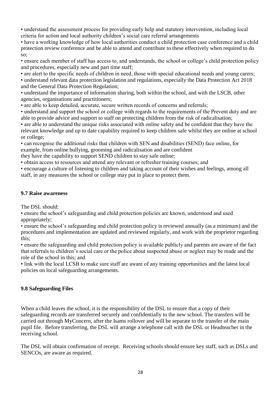• understand the assessment process for providing early help and statutory intervention, including local criteria for action and local authority children's social care referral arrangements

• have a working knowledge of how local authorities conduct a child protection case conference and a child protection review conference and be able to attend and contribute to these effectively when required to do so;

• ensure each member of staff has access to, and understands, the school or college's child protection policy and procedures, especially new and part time staff;

• are alert to the specific needs of children in need, those with special educational needs and young carers;

• understand relevant data protection legislation and regulations, especially the Data Protection Act 2018 and the General Data Protection Regulation;

• understand the importance of information sharing, both within the school, and with the LSCB, other agencies, organisations and practitioners;

• are able to keep detailed, accurate, secure written records of concerns and referrals;

• understand and support the school or college with regards to the requirements of the Prevent duty and are able to provide advice and support to staff on protecting children from the risk of radicalisation;

• are able to understand the unique risks associated with online safety and be confident that they have the relevant knowledge and up to date capability required to keep children safe whilst they are online at school or college;

• can recognise the additional risks that children with SEN and disabilities (SEND) face online, for example, from online bullying, grooming and radicalisation and are confident

they have the capability to support SEND children to stay safe online;

• obtain access to resources and attend any relevant or refresher training courses; and

<span id="page-27-0"></span>• encourage a culture of listening to children and taking account of their wishes and feelings, among all staff, in any measures the school or college may put in place to protect them.

#### **9.7 Raise awareness**

The DSL should:

• ensure the school's safeguarding and child protection policies are known, understood and used appropriately;

• ensure the school's safeguarding and child protection policy is reviewed annually (as a minimum) and the procedures and implementation are updated and reviewed regularly, and work with the proprietor regarding this;

• ensure the safeguarding and child protection policy is available publicly and parents are aware of the fact that referrals to children's social care or the police about suspected abuse or neglect may be made and the role of the school in this; and

<span id="page-27-1"></span>• link with the local LCSB to make sure staff are aware of any training opportunities and the latest local policies on local safeguarding arrangements.

# **9.8 Safeguarding Files**

When a child leaves the school, it is the responsibility of the DSL to ensure that a copy of their safeguarding records are transferred securely and confidentially to the new school. The transfers will be carried out through MyConcern, after the Isams rollover and will be separate to the transfer of the main pupil file. Before transferring, the DSL will arrange a telephone call with the DSL or Headteacher in the receiving school.

The DSL will obtain confirmation of receipt. Receiving schools should ensure key staff, such as DSLs and SENCOs, are aware as required.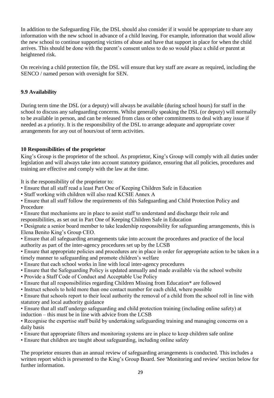In addition to the Safeguarding File, the DSL should also consider if it would be appropriate to share any information with the new school in advance of a child leaving. For example, information that would allow the new school to continue supporting victims of abuse and have that support in place for when the child arrives. This should be done with the parent's consent unless to do so would place a child or parent at heightened risk.

<span id="page-28-0"></span>On receiving a child protection file, the DSL will ensure that key staff are aware as required, including the SENCO / named person with oversight for SEN.

# **9.9 Availability**

During term time the DSL (or a deputy) will always be available (during school hours) for staff in the school to discuss any safeguarding concerns. Whilst generally speaking the DSL (or deputy) will normally to be available in person, and can be released from class or other commitments to deal with any issue if needed as a priority. It is the responsibility of the DSL to arrange adequate and appropriate cover arrangements for any out of hours/out of term activities.

# <span id="page-28-1"></span>**10 Responsibilities of the proprietor**

King's Group is the proprietor of the school. As proprietor, King's Group will comply with all duties under legislation and will always take into account statutory guidance, ensuring that all policies, procedures and training are effective and comply with the law at the time.

It is the responsibility of the proprietor to:

- Ensure that all staff read a least Part One of Keeping Children Safe in Education
- Staff working with children will also read KCSIE Annex A
- Ensure that all staff follow the requirements of this Safeguarding and Child Protection Policy and Procedure
- Ensure that mechanisms are in place to assist staff to understand and discharge their role and responsibilities, as set out in Part One of Keeping Children Safe in Education
- Designate a senior board member to take leadership responsibility for safeguarding arrangements, this is Elena Benito King's Group CEO.
- Ensure that all safeguarding arrangements take into account the procedures and practice of the local authority as part of the inter-agency procedures set up by the LCSB
- Ensure that appropriate policies and procedures are in place in order for appropriate action to be taken in a timely manner to safeguarding and promote children's welfare
- Ensure that each school works in line with local inter-agency procedures
- Ensure that the Safeguarding Policy is updated annually and made available via the school website
- Provide a Staff Code of Conduct and Acceptable Use Policy
- Ensure that all responsibilities regarding Children Missing from Education\* are followed
- Instruct schools to hold more than one contact number for each child, where possible

• Ensure that schools report to their local authority the removal of a child from the school roll in line with statutory and local authority guidance

• Ensure that all staff undergo safeguarding and child protection training (including online safety) at induction – this must be in line with advice from the LCSB

• Recognise the expertise staff build by undertaking safeguarding training and managing concerns on a daily basis

- Ensure that appropriate filters and monitoring systems are in place to keep children safe online
- Ensure that children are taught about safeguarding, including online safety

The proprietor ensures than an annual review of safeguarding arrangements is conducted. This includes a written report which is presented to the King's Group Board. See 'Monitoring and review' section below for further information.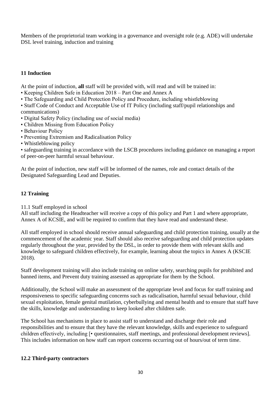Members of the proprietorial team working in a governance and oversight role (e.g. ADE) will undertake DSL level training, induction and training

# <span id="page-29-0"></span>**11 Induction**

At the point of induction, **all** staff will be provided with, will read and will be trained in:

- Keeping Children Safe in Education 2018 Part One and Annex A
- The Safeguarding and Child Protection Policy and Procedure, including whistleblowing
- Staff Code of Conduct and Acceptable Use of IT Policy (including staff/pupil relationships and communications)
- Digital Safety Policy (including use of social media)
- Children Missing from Education Policy
- Behaviour Policy
- Preventing Extremism and Radicalisation Policy
- Whistleblowing policy

• safeguarding training in accordance with the LSCB procedures including guidance on managing a report of peer-on-peer harmful sexual behaviour.

<span id="page-29-1"></span>At the point of induction, new staff will be informed of the names, role and contact details of the Designated Safeguarding Lead and Deputies.

# **12 Training**

11.1 Staff employed in school

All staff including the Headteacher will receive a copy of this policy and Part 1 and where appropriate, Annex A of KCSIE, and will be required to confirm that they have read and understand these.

All staff employed in school should receive annual safeguarding and child protection training, usually at the commencement of the academic year. Staff should also receive safeguarding and child protection updates regularly throughout the year, provided by the DSL, in order to provide them with relevant skills and knowledge to safeguard children effectively, for example, learning about the topics in Annex A (KSCIE 2018).

Staff development training will also include training on online safety, searching pupils for prohibited and banned items, and Prevent duty training assessed as appropriate for them by the School.

Additionally, the School will make an assessment of the appropriate level and focus for staff training and responsiveness to specific safeguarding concerns such as radicalisation, harmful sexual behaviour, child sexual exploitation, female genital mutilation, cyberbullying and mental health and to ensure that staff have the skills, knowledge and understanding to keep looked after children safe.

The School has mechanisms in place to assist staff to understand and discharge their role and responsibilities and to ensure that they have the relevant knowledge, skills and experience to safeguard children effectively, including [• questionnaires, staff meetings, and professional development reviews]. This includes information on how staff can report concerns occurring out of hours/out of term time.

# <span id="page-29-2"></span>**12.2 Third-party contractors**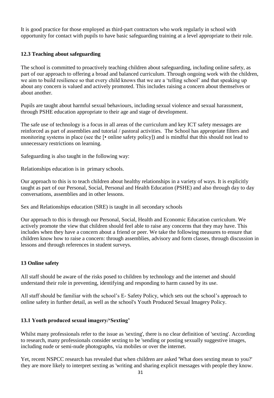<span id="page-30-0"></span>It is good practice for those employed as third-part contractors who work regularly in school with opportunity for contact with pupils to have basic safeguarding training at a level appropriate to their role.

# **12.3 Teaching about safeguarding**

The school is committed to proactively teaching children about safeguarding, including online safety, as part of our approach to offering a broad and balanced curriculum. Through ongoing work with the children, we aim to build resilience so that every child knows that we are a 'telling school' and that speaking up about any concern is valued and actively promoted. This includes raising a concern about themselves or about another.

Pupils are taught about harmful sexual behaviours, including sexual violence and sexual harassment, through PSHE education appropriate to their age and stage of development.

The safe use of technology is a focus in all areas of the curriculum and key ICT safety messages are reinforced as part of assemblies and tutorial / pastoral activities. The School has appropriate filters and monitoring systems in place (see the [• online safety policy]) and is mindful that this should not lead to unnecessary restrictions on learning.

Safeguarding is also taught in the following way:

Relationships education is in primary schools.

Our approach to this is to teach children about healthy relationships in a variety of ways. It is explicitly taught as part of our Personal, Social, Personal and Health Education (PSHE) and also through day to day conversations, assemblies and in other lessons.

Sex and Relationships education (SRE) is taught in all secondary schools

Our approach to this is through our Personal, Social, Health and Economic Education curriculum. We actively promote the view that children should feel able to raise any concerns that they may have. This includes when they have a concern about a friend or peer. We take the following measures to ensure that children know how to raise a concern: through assemblies, advisory and form classes, through discussion in lessons and through references in student surveys.

# <span id="page-30-1"></span>**13 Online safety**

All staff should be aware of the risks posed to children by technology and the internet and should understand their role in preventing, identifying and responding to harm caused by its use.

<span id="page-30-2"></span>All staff should be familiar with the school's E- Safety Policy, which sets out the school's approach to online safety in further detail, as well as the school's Youth Produced Sexual Imagery Policy.

# **13.1 Youth produced sexual imagery/'Sexting'**

Whilst many professionals refer to the issue as 'sexting', there is no clear definition of 'sexting'. According to research, many professionals consider sexting to be 'sending or posting sexually suggestive images, including nude or semi-nude photographs, via mobiles or over the internet.

Yet, recent NSPCC research has revealed that when children are asked 'What does sexting mean to you?' they are more likely to interpret sexting as 'writing and sharing explicit messages with people they know.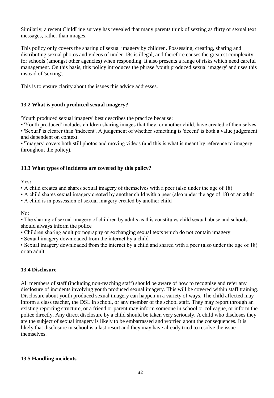Similarly, a recent ChildLine survey has revealed that many parents think of sexting as flirty or sexual text messages, rather than images.

This policy only covers the sharing of sexual imagery by children. Possessing, creating, sharing and distributing sexual photos and videos of under-18s is illegal, and therefore causes the greatest complexity for schools (amongst other agencies) when responding. It also presents a range of risks which need careful management. On this basis, this policy introduces the phrase 'youth produced sexual imagery' and uses this instead of 'sexting'.

<span id="page-31-0"></span>This is to ensure clarity about the issues this advice addresses.

# **13.2 What is youth produced sexual imagery?**

'Youth produced sexual imagery' best describes the practice because:

• 'Youth produced' includes children sharing images that they, or another child, have created of themselves.

• 'Sexual' is clearer than 'indecent'. A judgement of whether something is 'decent' is both a value judgement and dependent on context.

<span id="page-31-1"></span>• 'Imagery' covers both still photos and moving videos (and this is what is meant by reference to imagery throughout the policy).

# **13.3 What types of incidents are covered by this policy?**

Yes**:**

• A child creates and shares sexual imagery of themselves with a peer (also under the age of 18)

• A child shares sexual imagery created by another child with a peer (also under the age of 18) or an adult

• A child is in possession of sexual imagery created by another child

No:

• The sharing of sexual imagery of children by adults as this constitutes child sexual abuse and schools should always inform the police

• Children sharing adult pornography or exchanging sexual texts which do not contain imagery

• Sexual imagery downloaded from the internet by a child

<span id="page-31-2"></span>• Sexual imagery downloaded from the internet by a child and shared with a peer (also under the age of 18) or an adult

# **13.4 Disclosure**

All members of staff (including non-teaching staff) should be aware of how to recognise and refer any disclosure of incidents involving youth produced sexual imagery. This will be covered within staff training. Disclosure about youth produced sexual imagery can happen in a variety of ways. The child affected may inform a class teacher, the DSL in school, or any member of the school staff. They may report through an existing reporting structure, or a friend or parent may inform someone in school or colleague, or inform the police directly. Any direct disclosure by a child should be taken very seriously. A child who discloses they are the subject of sexual imagery is likely to be embarrassed and worried about the consequences. It is likely that disclosure in school is a last resort and they may have already tried to resolve the issue themselves.

# <span id="page-31-3"></span>**13.5 Handling incidents**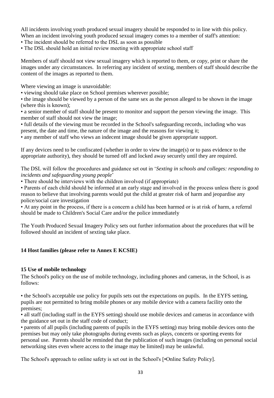All incidents involving youth produced sexual imagery should be responded to in line with this policy. When an incident involving youth produced sexual imagery comes to a member of staff's attention:

• The incident should be referred to the DSL as soon as possible

• The DSL should hold an initial review meeting with appropriate school staff

Members of staff should not view sexual imagery which is reported to them, or copy, print or share the images under any circumstances. In referring any incident of sexting, members of staff should describe the content of the images as reported to them.

Where viewing an image is unavoidable:

• viewing should take place on School premises wherever possible;

• the image should be viewed by a person of the same sex as the person alleged to be shown in the image (where this is known);

• a senior member of staff should be present to monitor and support the person viewing the image. This member of staff should not view the image;

• full details of the viewing must be recorded in the School's safeguarding records, including who was present, the date and time, the nature of the image and the reasons for viewing it;

• any member of staff who views an indecent image should be given appropriate support.

If any devices need to be confiscated (whether in order to view the image(s) or to pass evidence to the appropriate authority), they should be turned off and locked away securely until they are required.

The DSL will follow the procedures and guidance set out in '*Sexting in schools and colleges: responding to incidents and safeguarding young people*'

• There should be interviews with the children involved (if appropriate)

• Parents of each child should be informed at an early stage and involved in the process unless there is good reason to believe that involving parents would put the child at greater risk of harm and jeopardise any police/social care investigation

• At any point in the process, if there is a concern a child has been harmed or is at risk of harm, a referral should be made to Children's Social Care and/or the police immediately

<span id="page-32-0"></span>The Youth Produced Sexual Imagery Policy sets out further information about the procedures that will be followed should an incident of sexting take place.

# <span id="page-32-1"></span>**14 Host families (please refer to Annex E KCSIE)**

# **15 Use of mobile technology**

The School's policy on the use of mobile technology, including phones and cameras, in the School, is as follows:

• the School's acceptable use policy for pupils sets out the expectations on pupils. In the EYFS setting, pupils are not permitted to bring mobile phones or any mobile device with a camera facility onto the premises;

• all staff (including staff in the EYFS setting) should use mobile devices and cameras in accordance with the guidance set out in the staff code of conduct;

• parents of all pupils (including parents of pupils in the EYFS setting) may bring mobile devices onto the premises but may only take photographs during events such as plays, concerts or sporting events for personal use. Parents should be reminded that the publication of such images (including on personal social networking sites even where access to the image may be limited) may be unlawful.

The School's approach to online safety is set out in the School's [•Online Safety Policy].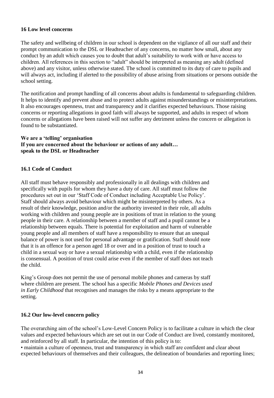#### <span id="page-33-0"></span>**16 Low level concerns**

The safety and wellbeing of children in our school is dependent on the vigilance of all our staff and their prompt communication to the DSL or Headteacher of any concerns, no matter how small, about any conduct by an adult which causes you to doubt that adult's suitability to work with or have access to children. All references in this section to "adult" should be interpreted as meaning any adult (defined above) and any visitor, unless otherwise stated. The school is committed to its duty of care to pupils and will always act, including if alerted to the possibility of abuse arising from situations or persons outside the school setting.

The notification and prompt handling of all concerns about adults is fundamental to safeguarding children. It helps to identify and prevent abuse and to protect adults against misunderstandings or misinterpretations. It also encourages openness, trust and transparency and it clarifies expected behaviours. Those raising concerns or reporting allegations in good faith will always be supported, and adults in respect of whom concerns or allegations have been raised will not suffer any detriment unless the concern or allegation is found to be substantiated.

### <span id="page-33-1"></span>**We are a 'telling' organisation If you are concerned about the behaviour or actions of any adult… speak to the DSL or Headteacher**

### **16.1 Code of Conduct**

All staff must behave responsibly and professionally in all dealings with children and specifically with pupils for whom they have a duty of care. All staff must follow the procedures set out in our 'Staff Code of Conduct including Acceptable Use Policy'. Staff should always avoid behaviour which might be misinterpreted by others. As a result of their knowledge, position and/or the authority invested in their role, all adults working with children and young people are in positions of trust in relation to the young people in their care. A relationship between a member of staff and a pupil cannot be a relationship between equals. There is potential for exploitation and harm of vulnerable young people and all members of staff have a responsibility to ensure that an unequal balance of power is not used for personal advantage or gratification. Staff should note that it is an offence for a person aged 18 or over and in a position of trust to touch a child in a sexual way or have a sexual relationship with a child, even if the relationship is consensual. A position of trust could arise even if the member of staff does not teach the child.

King's Group does not permit the use of personal mobile phones and cameras by staff where children are present. The school has a specific *Mobile Phones and Devices used in Early Childhood* that recognises and manages the risks by a means appropriate to the setting.

#### <span id="page-33-2"></span>**16.2 Our low-level concern policy**

The overarching aim of the school's Low-Level Concern Policy is to facilitate a culture in which the clear values and expected behaviours which are set out in our Code of Conduct are lived, constantly monitored, and reinforced by all staff. In particular, the intention of this policy is to:

• maintain a culture of openness, trust and transparency in which staff are confident and clear about expected behaviours of themselves and their colleagues, the delineation of boundaries and reporting lines;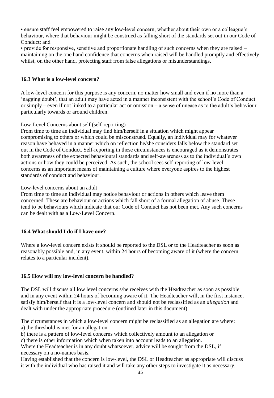• ensure staff feel empowered to raise any low-level concern, whether about their own or a colleague's behaviour, where that behaviour might be construed as falling short of the standards set out in our Code of Conduct; and

<span id="page-34-0"></span>• provide for responsive, sensitive and proportionate handling of such concerns when they are raised – maintaining on the one hand confidence that concerns when raised will be handled promptly and effectively whilst, on the other hand, protecting staff from false allegations or misunderstandings.

# **16.3 What is a low-level concern?**

A low-level concern for this purpose is any concern, no matter how small and even if no more than a 'nagging doubt', that an adult may have acted in a manner inconsistent with the school's Code of Conduct or simply – even if not linked to a particular act or omission – a sense of unease as to the adult's behaviour particularly towards or around children.

# Low-Level Concerns about self (self-reporting)

From time to time an individual may find him/herself in a situation which might appear compromising to others or which could be misconstrued. Equally, an individual may for whatever reason have behaved in a manner which on reflection he/she considers falls below the standard set out in the Code of Conduct. Self-reporting in these circumstances is encouraged as it demonstrates both awareness of the expected behavioural standards and self-awareness as to the individual's own actions or how they could be perceived. As such, the school sees self-reporting of low-level concerns as an important means of maintaining a culture where everyone aspires to the highest standards of conduct and behaviour.

### Low-level concerns about an adult

From time to time an individual may notice behaviour or actions in others which leave them concerned. These are behaviour or actions which fall short of a formal allegation of abuse. These tend to be behaviours which indicate that our Code of Conduct has not been met. Any such concerns can be dealt with as a Low-Level Concern.

# <span id="page-34-1"></span>**16.4 What should I do if I have one?**

<span id="page-34-2"></span>Where a low-level concern exists it should be reported to the DSL or to the Headteacher as soon as reasonably possible and, in any event, within 24 hours of becoming aware of it (where the concern relates to a particular incident).

# **16.5 How will my low-level concern be handled?**

The DSL will discuss all low level concerns s/he receives with the Headteacher as soon as possible and in any event within 24 hours of becoming aware of it. The Headteacher will, in the first instance, satisfy him/herself that it is a low-level concern and should not be reclassified as an *allegation* and dealt with under the appropriate procedure (outlined later in this document).

The circumstances in which a low-level concern might be reclassified as an allegation are where:

a) the threshold is met for an allegation

b) there is a pattern of low-level concerns which collectively amount to an allegation or

c) there is other information which when taken into account leads to an allegation.

Where the Headteacher is in any doubt whatsoever, advice will be sought from the DSL, if necessary on a no-names basis.

Having established that the concern is low-level, the DSL or Headteacher as appropriate will discuss it with the individual who has raised it and will take any other steps to investigate it as necessary.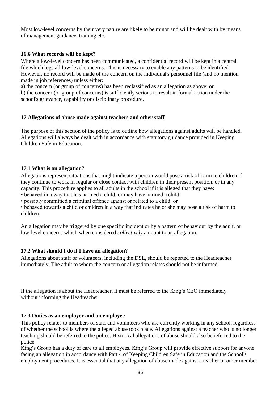<span id="page-35-0"></span>Most low-level concerns by their very nature are likely to be minor and will be dealt with by means of management guidance, training etc.

# **16.6 What records will be kept?**

Where a low-level concern has been communicated, a confidential record will be kept in a central file which logs all low-level concerns. This is necessary to enable any patterns to be identified. However, no record will be made of the concern on the individual's personnel file (and no mention made in job references) unless either:

<span id="page-35-1"></span>a) the concern (or group of concerns) has been reclassified as an allegation as above; or b) the concern (or group of concerns) is sufficiently serious to result in formal action under the school's grievance, capability or disciplinary procedure.

#### **17 Allegations of abuse made against teachers and other staff**

The purpose of this section of the policy is to outline how allegations against adults will be handled. Allegations will always be dealt with in accordance with statutory guidance provided in Keeping Children Safe in Education.

#### <span id="page-35-2"></span>**17.1 What is an allegation?**

Allegations represent situations that might indicate a person would pose a risk of harm to children if they continue to work in regular or close contact with children in their present position, or in any capacity. This procedure applies to all adults in the school if it is alleged that they have:

• behaved in a way that has harmed a child, or may have harmed a child;

• possibly committed a criminal offence against or related to a child; or

• behaved towards a child or children in a way that indicates he or she may pose a risk of harm to children.

<span id="page-35-3"></span>An allegation may be triggered by one specific incident or by a pattern of behaviour by the adult, or low-level concerns which when considered *collectively* amount to an allegation.

#### **17.2 What should I do if I have an allegation?**

Allegations about staff or volunteers, including the DSL, should be reported to the Headteacher immediately. The adult to whom the concern or allegation relates should not be informed.

<span id="page-35-4"></span>If the allegation is about the Headteacher, it must be referred to the King's CEO immediately, without informing the Headteacher.

#### **17.3 Duties as an employer and an employee**

This policy relates to members of staff and volunteers who are currently working in any school, regardless of whether the school is where the alleged abuse took place. Allegations against a teacher who is no longer teaching should be referred to the police. Historical allegations of abuse should also be referred to the police.

King's Group has a duty of care to all employees. King's Group will provide effective support for anyone facing an allegation in accordance with Part 4 of Keeping Children Safe in Education and the School's employment procedures. It is essential that any allegation of abuse made against a teacher or other member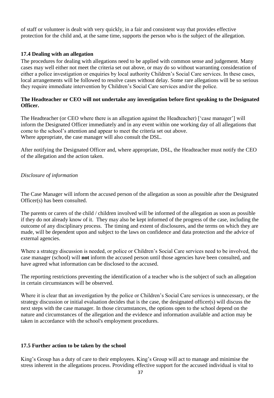<span id="page-36-0"></span>of staff or volunteer is dealt with very quickly, in a fair and consistent way that provides effective protection for the child and, at the same time, supports the person who is the subject of the allegation.

# **17.4 Dealing with an allegation**

The procedures for dealing with allegations need to be applied with common sense and judgement. Many cases may well either not meet the criteria set out above, or may do so without warranting consideration of either a police investigation or enquiries by local authority Children's Social Care services. In these cases, local arrangements will be followed to resolve cases without delay. Some rare allegations will be so serious they require immediate intervention by Children's Social Care services and/or the police.

#### **The Headteacher or CEO will not undertake any investigation before first speaking to the Designated Officer.**

The Headteacher (or CEO where there is an allegation against the Headteacher) ['case manager'] will inform the Designated Officer immediately and in any event within one working day of all allegations that come to the school's attention and appear to meet the criteria set out above. Where appropriate, the case manager will also consult the DSL.

After notifying the Designated Officer and, where appropriate, DSL, the Headteacher must notify the CEO of the allegation and the action taken.

#### *Disclosure of information*

The Case Manager will inform the accused person of the allegation as soon as possible after the Designated Officer(s) has been consulted.

The parents or carers of the child / children involved will be informed of the allegation as soon as possible if they do not already know of it. They may also be kept informed of the progress of the case, including the outcome of any disciplinary process. The timing and extent of disclosures, and the terms on which they are made, will be dependent upon and subject to the laws on confidence and data protection and the advice of external agencies.

Where a strategy discussion is needed, or police or Children's Social Care services need to be involved, the case manager (school) will **not** inform the accused person until those agencies have been consulted, and have agreed what information can be disclosed to the accused.

The reporting restrictions preventing the identification of a teacher who is the subject of such an allegation in certain circumstances will be observed.

Where it is clear that an investigation by the police or Children's Social Care services is unnecessary, or the strategy discussion or initial evaluation decides that is the case, the designated officer(s) will discuss the next steps with the case manager. In those circumstances, the options open to the school depend on the nature and circumstances of the allegation and the evidence and information available and action may be taken in accordance with the school's employment procedures.

#### <span id="page-36-1"></span>**17.5 Further action to be taken by the school**

King's Group has a duty of care to their employees. King's Group will act to manage and minimise the stress inherent in the allegations process. Providing effective support for the accused individual is vital to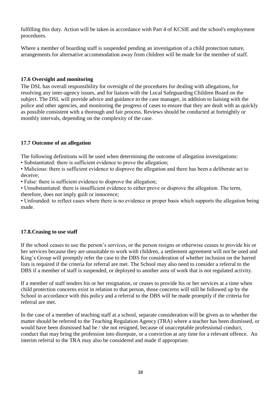fulfilling this duty. Action will be taken in accordance with Part 4 of KCSIE and the school's employment procedures.

<span id="page-37-0"></span>Where a member of boarding staff is suspended pending an investigation of a child protection nature, arrangements for alternative accommodation away from children will be made for the member of staff.

# **17.6 Oversight and monitoring**

The DSL has overall responsibility for oversight of the procedures for dealing with allegations, for resolving any inter-agency issues, and for liaison with the Local Safeguarding Children Board on the subject. The DSL will provide advice and guidance to the case manager, in addition to liaising with the police and other agencies, and monitoring the progress of cases to ensure that they are dealt with as quickly as possible consistent with a thorough and fair process. Reviews should be conducted at fortnightly or monthly intervals, depending on the complexity of the case.

### <span id="page-37-1"></span>**17.7 Outcome of an allegation**

The following definitions will be used when determining the outcome of allegation investigations:

• Substantiated: there is sufficient evidence to prove the allegation;

• Malicious: there is sufficient evidence to disprove the allegation and there has been a deliberate act to deceive;

• False: there is sufficient evidence to disprove the allegation;

• Unsubstantiated: there is insufficient evidence to either prove or disprove the allegation. The term, therefore, does not imply guilt or innocence;

<span id="page-37-2"></span>• Unfounded: to reflect cases where there is no evidence or proper basis which supports the allegation being made.

# **17.8.Ceasing to use staff**

If the school ceases to use the person's services, or the person resigns or otherwise ceases to provide his or her services because they are unsuitable to work with children, a settlement agreement will not be used and King's Group will promptly refer the case to the DBS for consideration of whether inclusion on the barred lists is required if the criteria for referral are met. The School may also need to consider a referral to the DBS if a member of staff is suspended, or deployed to another area of work that is not regulated activity.

If a member of staff tenders his or her resignation, or ceases to provide his or her services at a time when child protection concerns exist in relation to that person, those concerns will still be followed up by the School in accordance with this policy and a referral to the DBS will be made promptly if the criteria for referral are met.

In the case of a member of teaching staff at a school, separate consideration will be given as to whether the matter should be referred to the Teaching Regulation Agency (TRA) where a teacher has been dismissed, or would have been dismissed had he / she not resigned, because of unacceptable professional conduct, conduct that may bring the profession into disrepute, or a conviction at any time for a relevant offence. An interim referral to the TRA may also be considered and made if appropriate.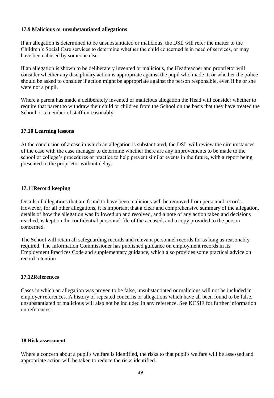#### <span id="page-38-0"></span>**17.9 Malicious or unsubstantiated allegations**

If an allegation is determined to be unsubstantiated or malicious, the DSL will refer the matter to the Children's Social Care services to determine whether the child concerned is in need of services, or may have been abused by someone else.

If an allegation is shown to be deliberately invented or malicious, the Headteacher and proprietor will consider whether any disciplinary action is appropriate against the pupil who made it; or whether the police should be asked to consider if action might be appropriate against the person responsible, even if he or she were not a pupil.

<span id="page-38-1"></span>Where a parent has made a deliberately invented or malicious allegation the Head will consider whether to require that parent to withdraw their child or children from the School on the basis that they have treated the School or a member of staff unreasonably.

# **17.10 Learning lessons**

At the conclusion of a case in which an allegation is substantiated, the DSL will review the circumstances of the case with the case manager to determine whether there are any improvements to be made to the school or college's procedures or practice to help prevent similar events in the future, with a report being presented to the proprietor without delay.

# <span id="page-38-2"></span>**17.11Record keeping**

Details of allegations that are found to have been malicious will be removed from personnel records. However, for all other allegations, it is important that a clear and comprehensive summary of the allegation, details of how the allegation was followed up and resolved, and a note of any action taken and decisions reached, is kept on the confidential personnel file of the accused, and a copy provided to the person concerned.

The School will retain all safeguarding records and relevant personnel records for as long as reasonably required. The Information Commissioner has published guidance on employment records in its Employment Practices Code and supplementary guidance, which also provides some practical advice on record retention.

#### <span id="page-38-3"></span>**17.12References**

Cases in which an allegation was proven to be false, unsubstantiated or malicious will not be included in employer references. A history of repeated concerns or allegations which have all been found to be false, unsubstantiated or malicious will also not be included in any reference. See KCSIE for further information on references.

#### <span id="page-38-4"></span>**18 Risk assessment**

Where a concern about a pupil's welfare is identified, the risks to that pupil's welfare will be assessed and appropriate action will be taken to reduce the risks identified.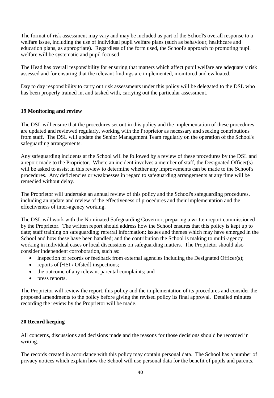The format of risk assessment may vary and may be included as part of the School's overall response to a welfare issue, including the use of individual pupil welfare plans (such as behaviour, healthcare and education plans, as appropriate). Regardless of the form used, the School's approach to promoting pupil welfare will be systematic and pupil focused.

The Head has overall responsibility for ensuring that matters which affect pupil welfare are adequately risk assessed and for ensuring that the relevant findings are implemented, monitored and evaluated.

<span id="page-39-0"></span>Day to day responsibility to carry out risk assessments under this policy will be delegated to the DSL who has been properly trained in, and tasked with, carrying out the particular assessment.

### **19 Monitoring and review**

The DSL will ensure that the procedures set out in this policy and the implementation of these procedures are updated and reviewed regularly, working with the Proprietor as necessary and seeking contributions from staff. The DSL will update the Senior Management Team regularly on the operation of the School's safeguarding arrangements.

Any safeguarding incidents at the School will be followed by a review of these procedures by the DSL and a report made to the Proprietor. Where an incident involves a member of staff, the Designated Officer(s) will be asked to assist in this review to determine whether any improvements can be made to the School's procedures. Any deficiencies or weaknesses in regard to safeguarding arrangements at any time will be remedied without delay.

The Proprietor will undertake an annual review of this policy and the School's safeguarding procedures, including an update and review of the effectiveness of procedures and their implementation and the effectiveness of inter-agency working.

The DSL will work with the Nominated Safeguarding Governor, preparing a written report commissioned by the Proprietor. The written report should address how the School ensures that this policy is kept up to date; staff training on safeguarding; referral information; issues and themes which may have emerged in the School and how these have been handled; and the contribution the School is making to multi-agency working in individual cases or local discussions on safeguarding matters. The Proprietor should also consider independent corroboration, such as:

- inspection of records or feedback from external agencies including the Designated Officer(s);
- reports of [•ISI / Ofsted] inspections;
- the outcome of any relevant parental complaints; and
- press reports.

<span id="page-39-1"></span>The Proprietor will review the report, this policy and the implementation of its procedures and consider the proposed amendments to the policy before giving the revised policy its final approval. Detailed minutes recording the review by the Proprietor will be made.

# **20 Record keeping**

All concerns, discussions and decisions made and the reasons for those decisions should be recorded in writing.

The records created in accordance with this policy may contain personal data. The School has a number of privacy notices which explain how the School will use personal data for the benefit of pupils and parents.